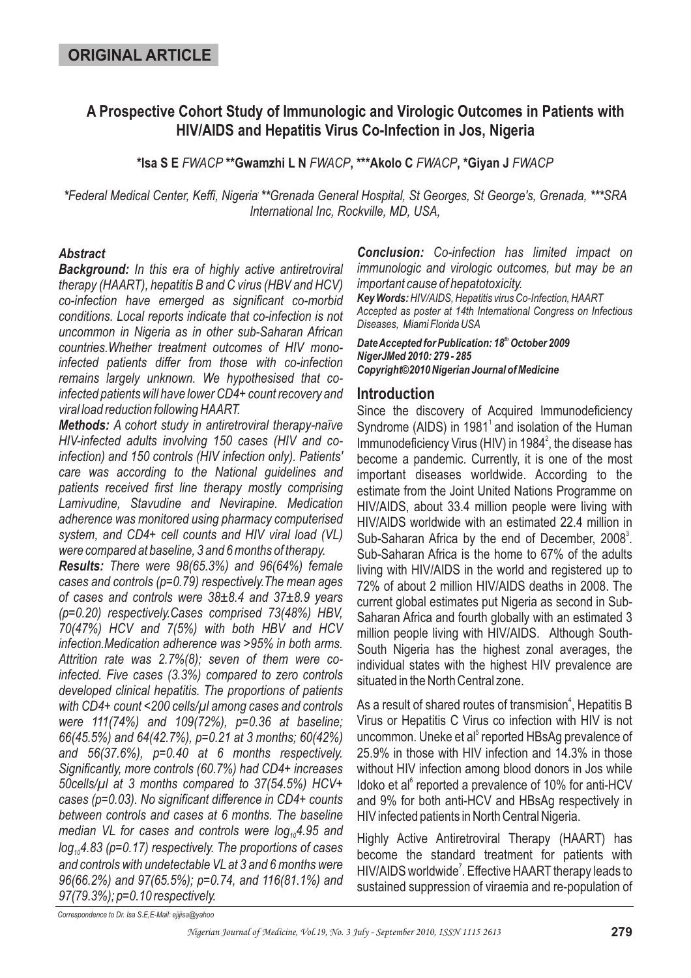# **A Prospective Cohort Study of Immunologic and Virologic Outcomes in Patients with HIV/AIDS and Hepatitis Virus Co-Infection in Jos, Nigeria**

\*Isa S E FWACP \*\*Gwamzhi L N FWACP, \*\*\*Akolo C FWACP, \*Giyan J FWACP

\*Federal Medical Center, Keffi, Nigeria \*\*Grenada General Hospital, St Georges, St George's, Grenada, \*\*\*SRA *International Inc, Rockville, MD, USA,*

#### *Abstract*

*Background: In this era of highly active antiretroviral therapy (HAART), hepatitis B and C virus (HBV and HCV) co-infection have emerged as significant co-morbid conditions. Local reports indicate that co-infection is not uncommon in Nigeria as in other sub-Saharan African countries.Whether treatment outcomes of HIV monoinfected patients differ from those with co-infection remains largely unknown. We hypothesised that coinfected patients will have lower CD4+ count recovery and viral load reduction following HAART.*

*Methods: A cohort study in antiretroviral therapy-naïve HIV-infected adults involving 150 cases (HIV and coinfection) and 150 controls (HIV infection only). Patients' care was according to the National guidelines and patients received first line therapy mostly comprising Lamivudine, Stavudine and Nevirapine. Medication adherence was monitored using pharmacy computerised system, and CD4+ cell counts and HIV viral load (VL) were compared at baseline, 3 and 6 months of therapy.*

*Results: There were 98(65.3%) and 96(64%) female cases and controls (p=0.79) respectively.The mean ages of cases and controls were 38±8.4 and 37±8.9 years (p=0.20) respectively.Cases comprised 73(48%) HBV, 70(47%) HCV and 7(5%) with both HBV and HCV infection.Medication adherence was >95% in both arms. Attrition rate was 2.7%(8); seven of them were coinfected. Five cases (3.3%) compared to zero controls developed clinical hepatitis. The proportions of patients with CD4+ count <200 cells/µl among cases and controls were 111(74%) and 109(72%), p=0.36 at baseline; 66(45.5%) and 64(42.7%), p=0.21 at 3 months; 60(42%) and 56(37.6%), p=0.40 at 6 months respectively. Significantly, more controls (60.7%) had CD4+ increases 50cells/µl at 3 months compared to 37(54.5%) HCV+ cases (p=0.03). No significant difference in CD4+ counts between controls and cases at 6 months. The baseline* median VL for cases and controls were log<sub>10</sub>4.95 and *log 4.83 (p=0.17) respectively. The proportions of cases 10 and controls with undetectable VL at 3 and 6 months were 96(66.2%) and 97(65.5%); p=0.74, and 116(81.1%) and 97(79.3%); p=0.10 respectively.*

*Conclusion: Co-infection has limited impact on immunologic and virologic outcomes, but may be an important cause of hepatotoxicity. Key Words:HIV/AIDS, Hepatitis virus Co-Infection, HAART Accepted as poster at 14th International Congress on Infectious Diseases, Miami Florida USA*

#### *DateAccepted for Publication: 18 October 2009 th NigerJMed 2010: 279 - 285 Copyright©2010 Nigerian Journal of Medicine*

### **Introduction**

Since the discovery of Acquired Immunodeficiency Syndrome (AIDS) in 1981 $^{\circ}$  and isolation of the Human Immunodeficiency Virus (HIV) in 1984 $^2$ , the disease has become a pandemic. Currently, it is one of the most important diseases worldwide. According to the estimate from the Joint United Nations Programme on HIV/AIDS, about 33.4 million people were living with HIV/AIDS worldwide with an estimated 22.4 million in Sub-Saharan Africa by the end of December,  $2008^3$ . Sub-Saharan Africa is the home to 67% of the adults living with HIV/AIDS in the world and registered up to 72% of about 2 million HIV/AIDS deaths in 2008. The current global estimates put Nigeria as second in Sub-Saharan Africa and fourth globally with an estimated 3 million people living with HIV/AIDS. Although South-South Nigeria has the highest zonal averages, the individual states with the highest HIV prevalence are situated in the North Central zone.

As a result of shared routes of transmision<sup>4</sup>, Hepatitis B Virus or Hepatitis C Virus co infection with HIV is not uncommon. Uneke et al<sup>5</sup> reported HBsAg prevalence of 25.9% in those with HIV infection and 14.3% in those without HIV infection among blood donors in Jos while Idoko et al<sup>6</sup> reported a prevalence of 10% for anti-HCV and 9% for both anti-HCV and HBsAg respectively in HIV infected patients in North Central Nigeria.

Highly Active Antiretroviral Therapy (HAART) has become the standard treatment for patients with HIV/AIDS worldwide<sup>7</sup>. Effective HAART therapy leads to sustained suppression of viraemia and re-population of

*Correspondence to Dr. Isa S.E,E-Mail: ejijisa@yahoo*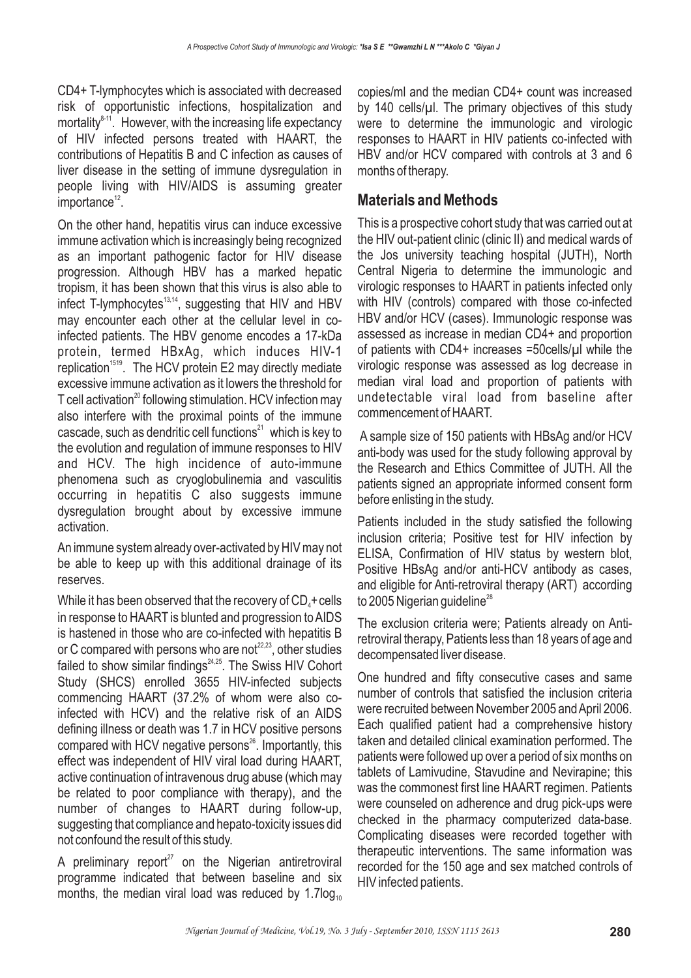CD4+ T-lymphocytes which is associated with decreased risk of opportunistic infections, hospitalization and mortality $^{8+1}$ . However, with the increasing life expectancy of HIV infected persons treated with HAART, the contributions of Hepatitis B and C infection as causes of liver disease in the setting of immune dysregulation in people living with HIV/AIDS is assuming greater importance<sup>12</sup>.

On the other hand, hepatitis virus can induce excessive immune activation which is increasingly being recognized as an important pathogenic factor for HIV disease progression. Although HBV has a marked hepatic tropism, it has been shown that this virus is also able to infect T-lymphocytes<sup>13,14</sup>, suggesting that HIV and HBV may encounter each other at the cellular level in coinfected patients. The HBV genome encodes a 17-kDa protein, termed HBxAg, which induces HIV-1 replication<sup>1519</sup>. The HCV protein E2 may directly mediate excessive immune activation as it lowers the threshold for T cell activation<sup>20</sup> following stimulation. HCV infection may also interfere with the proximal points of the immune cascade, such as dendritic cell functions $^{21}$  which is key to the evolution and regulation of immune responses to HIV and HCV. The high incidence of auto-immune phenomena such as cryoglobulinemia and vasculitis occurring in hepatitis C also suggests immune dysregulation brought about by excessive immune activation.

An immune system already over-activated by HIV may not be able to keep up with this additional drainage of its reserves.

While it has been observed that the recovery of  $\mathsf{CD}_4\texttt{+}$ cells in response to HAART is blunted and progression to AIDS is hastened in those who are co-infected with hepatitis B or C compared with persons who are not<sup>22,23</sup>, other studies failed to show similar findings<sup>24,25</sup>. The Swiss HIV Cohort Study (SHCS) enrolled 3655 HIV-infected subjects commencing HAART (37.2% of whom were also coinfected with HCV) and the relative risk of an AIDS defining illness or death was 1.7 in HCV positive persons compared with HCV negative persons<sup>26</sup>. Importantly, this effect was independent of HIV viral load during HAART, active continuation of intravenous drug abuse (which may be related to poor compliance with therapy), and the number of changes to HAART during follow-up, suggesting that compliance and hepato-toxicity issues did not confound the result of this study.

A preliminary report $27$  on the Nigerian antiretroviral programme indicated that between baseline and six months, the median viral load was reduced by 1.7log $_{10}$ 

copies/ml and the median CD4+ count was increased by 140 cells/µl. The primary objectives of this study were to determine the immunologic and virologic responses to HAART in HIV patients co-infected with HBV and/or HCV compared with controls at 3 and 6 months of therapy.

### **Materials and Methods**

This is a prospective cohort study that was carried out at the HIV out-patient clinic (clinic II) and medical wards of the Jos university teaching hospital (JUTH), North Central Nigeria to determine the immunologic and virologic responses to HAART in patients infected only with HIV (controls) compared with those co-infected HBV and/or HCV (cases). Immunologic response was assessed as increase in median CD4+ and proportion of patients with CD4+ increases =50cells/µl while the virologic response was assessed as log decrease in median viral load and proportion of patients with undetectable viral load from baseline after commencement of HAART.

A sample size of 150 patients with HBsAg and/or HCV anti-body was used for the study following approval by the Research and Ethics Committee of JUTH. All the patients signed an appropriate informed consent form before enlisting in the study.

Patients included in the study satisfied the following inclusion criteria; Positive test for HIV infection by ELISA, Confirmation of HIV status by western blot, Positive HBsAg and/or anti-HCV antibody as cases, and eligible for Anti-retroviral therapy (ART) according to 2005 Nigerian guideline $^{\scriptscriptstyle 28}$ 

The exclusion criteria were; Patients already on Antiretroviral therapy, Patients less than 18 years of age and decompensated liver disease.

One hundred and fifty consecutive cases and same number of controls that satisfied the inclusion criteria were recruited between November 2005 andApril 2006. Each qualified patient had a comprehensive history taken and detailed clinical examination performed. The patients were followed up over a period of six months on tablets of Lamivudine, Stavudine and Nevirapine; this was the commonest first line HAART regimen. Patients were counseled on adherence and drug pick-ups were checked in the pharmacy computerized data-base. Complicating diseases were recorded together with therapeutic interventions. The same information was recorded for the 150 age and sex matched controls of HIV infected patients.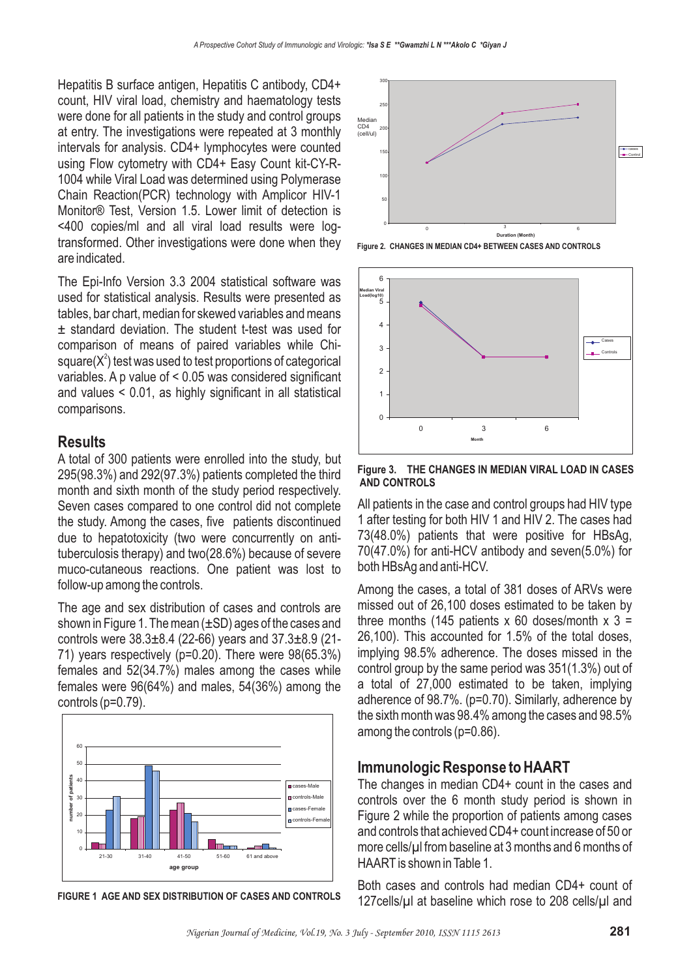Hepatitis B surface antigen, Hepatitis C antibody, CD4+ count, HIV viral load, chemistry and haematology tests were done for all patients in the study and control groups at entry. The investigations were repeated at 3 monthly intervals for analysis. CD4+ lymphocytes were counted using Flow cytometry with CD4+ Easy Count kit-CY-R-1004 while Viral Load was determined using Polymerase Chain Reaction(PCR) technology with Amplicor HIV-1 Monitor® Test, Version 1.5. Lower limit of detection is <400 copies/ml and all viral load results were logtransformed. Other investigations were done when they are indicated.

The Epi-Info Version 3.3 2004 statistical software was used for statistical analysis. Results were presented as tables, bar chart, median for skewed variables and means ± standard deviation. The student t-test was used for comparison of means of paired variables while Chisquare( $X^2$ ) test was used to test proportions of categorical variables. A p value of < 0.05 was considered significant and values < 0.01, as highly significant in all statistical comparisons.

### **Results**

A total of 300 patients were enrolled into the study, but 295(98.3%) and 292(97.3%) patients completed the third month and sixth month of the study period respectively. Seven cases compared to one control did not complete the study. Among the cases, five patients discontinued due to hepatotoxicity (two were concurrently on antituberculosis therapy) and two(28.6%) because of severe muco-cutaneous reactions. One patient was lost to follow-up among the controls.

The age and sex distribution of cases and controls are shown in Figure 1. The mean (±SD) ages of the cases and controls were 38.3±8.4 (22-66) years and 37.3±8.9 (21- 71) years respectively (p=0.20). There were 98(65.3%) females and 52(34.7%) males among the cases while females were 96(64%) and males, 54(36%) among the controls (p=0.79).



**FIGURE 1 AGE AND SEX DISTRIBUTION OF CASES AND CONTROLS**



**Figure 2. CHANGES IN MEDIAN CD4+ BETWEEN CASES AND CONTROLS**



**Figure 3. THE CHANGES IN MEDIAN VIRAL LOAD IN CASES AND CONTROLS**

All patients in the case and control groups had HIV type 1 after testing for both HIV 1 and HIV 2. The cases had 73(48.0%) patients that were positive for HBsAg, 70(47.0%) for anti-HCV antibody and seven(5.0%) for both HBsAg and anti-HCV.

Among the cases, a total of 381 doses of ARVs were missed out of 26,100 doses estimated to be taken by three months (145 patients  $x$  60 doses/month  $x$  3 = 26,100). This accounted for 1.5% of the total doses, implying 98.5% adherence. The doses missed in the control group by the same period was 351(1.3%) out of a total of 27,000 estimated to be taken, implying adherence of 98.7%. (p=0.70). Similarly, adherence by the sixth month was 98.4% among the cases and 98.5% among the controls (p=0.86).

# **Immunologic Response to HAART**

The changes in median CD4+ count in the cases and controls over the 6 month study period is shown in Figure 2 while the proportion of patients among cases and controls that achieved CD4+ count increase of 50 or more cells/µl from baseline at 3 months and 6 months of HAART is shown in Table 1.

Both cases and controls had median CD4+ count of 127cells/µl at baseline which rose to 208 cells/µl and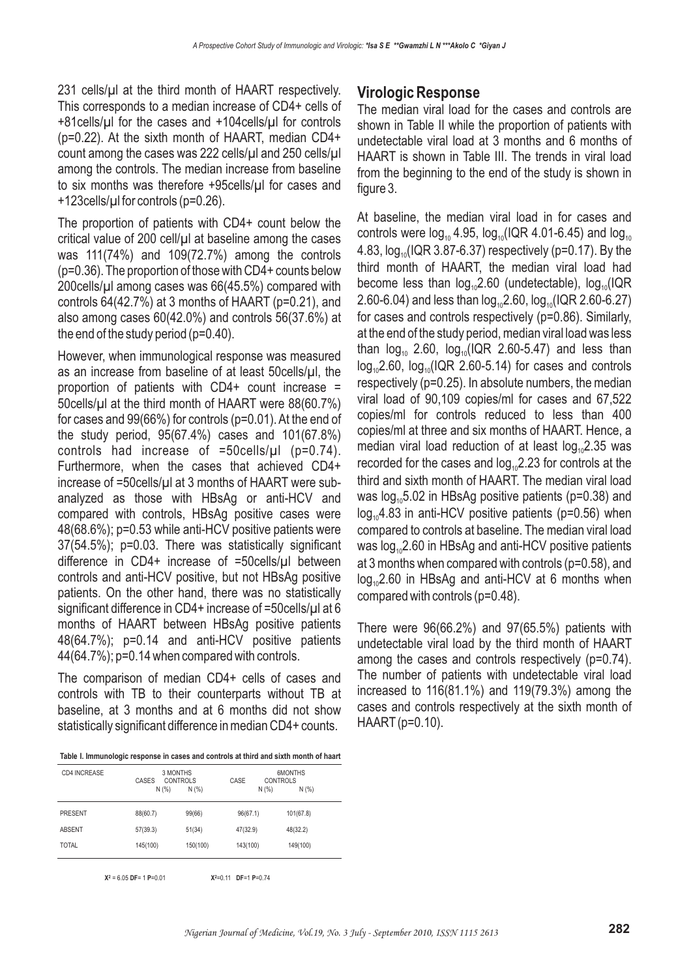231 cells/µl at the third month of HAART respectively. This corresponds to a median increase of CD4+ cells of +81cells/µl for the cases and +104cells/µl for controls (p=0.22). At the sixth month of HAART, median CD4+ count among the cases was 222 cells/µl and 250 cells/µl among the controls. The median increase from baseline to six months was therefore +95cells/µl for cases and +123cells/µl for controls (p=0.26).

The proportion of patients with CD4+ count below the critical value of 200 cell/µl at baseline among the cases was 111(74%) and 109(72.7%) among the controls (p=0.36). The proportion of those with CD4+ counts below 200cells/µl among cases was 66(45.5%) compared with controls 64(42.7%) at 3 months of HAART (p=0.21), and also among cases 60(42.0%) and controls 56(37.6%) at the end of the study period (p=0.40).

However, when immunological response was measured as an increase from baseline of at least 50cells/µl, the proportion of patients with CD4+ count increase = 50cells/µl at the third month of HAART were 88(60.7%) for cases and 99(66%) for controls (p=0.01). At the end of the study period, 95(67.4%) cases and 101(67.8%) controls had increase of =50cells/µl (p=0.74). Furthermore, when the cases that achieved CD4+ increase of =50cells/µl at 3 months of HAART were subanalyzed as those with HBsAg or anti-HCV and compared with controls, HBsAg positive cases were 48(68.6%); p=0.53 while anti-HCV positive patients were 37(54.5%); p=0.03. There was statistically significant difference in CD4+ increase of =50cells/µl between controls and anti-HCV positive, but not HBsAg positive patients. On the other hand, there was no statistically significant difference in CD4+ increase of =50cells/ $\mu$ l at 6 months of HAART between HBsAg positive patients 48(64.7%); p=0.14 and anti-HCV positive patients 44(64.7%); p=0.14 when compared with controls.

The comparison of median CD4+ cells of cases and controls with TB to their counterparts without TB at baseline, at 3 months and at 6 months did not show statistically significant difference in median CD4+ counts.

**Table I. Immunologic response in cases and controls at third and sixth month of haart**

| CD4 INCREASE   | 3 MONTHS<br><b>CONTROLS</b><br>CASES<br>N(% ) | N(% )    | CASE     | 6MONTHS<br><b>CONTROLS</b><br>N(% )<br>N(% ) |
|----------------|-----------------------------------------------|----------|----------|----------------------------------------------|
| <b>PRESENT</b> | 88(60.7)                                      | 99(66)   | 96(67.1) | 101(67.8)                                    |
| <b>ABSENT</b>  | 57(39.3)                                      | 51(34)   | 47(32.9) | 48(32.2)                                     |
| TOTAL          | 145(100)                                      | 150(100) | 143(100) | 149(100)                                     |
|                |                                               |          |          |                                              |

**X<sup>2</sup>** = 6.05 **DF**= 1 **P**=0.01 **X2**=0.11 **DF**=1 **P**=0.74

#### **Virologic Response**

The median viral load for the cases and controls are shown in Table II while the proportion of patients with undetectable viral load at 3 months and 6 months of HAART is shown in Table III. The trends in viral load from the beginning to the end of the study is shown in figure 3.

At baseline, the median viral load in for cases and controls were log $_{10}$  4.95, log $_{10}$ (IQR 4.01-6.45) and log $_{10}$ 4.83, log $_{\rm 10}$ (IQR 3.87-6.37) respectively (p=0.17). By the third month of HAART, the median viral load had become less than  $log_{10}2.60$  (undetectable),  $log_{10}$ (IQR 2.60-6.04) and less than log $_{\rm 10}$ 2.60, log $_{\rm 10}$ (IQR 2.60-6.27) for cases and controls respectively (p=0.86). Similarly, at the end of the study period, median viral load was less than  $log_{10}$  2.60,  $log_{10}(IQR 2.60-5.47)$  and less than  $\log_{10}$ 2.60,  $\log_{10}$ (IQR 2.60-5.14) for cases and controls respectively (p=0.25). In absolute numbers, the median viral load of 90,109 copies/ml for cases and 67,522 copies/ml for controls reduced to less than 400 copies/ml at three and six months of HAART. Hence, a median viral load reduction of at least  $log_{10}$ 2.35 was recorded for the cases and  $log_{10}2.23$  for controls at the third and sixth month of HAART. The median viral load was log $_{\rm 10}$ 5.02 in HBsAg positive patients (p=0.38) and  $log_{10}4.83$  in anti-HCV positive patients (p=0.56) when compared to controls at baseline. The median viral load was log $_{\rm 10}$ 2.60 in HBsAg and anti-HCV positive patients at 3 months when compared with controls (p=0.58), and  $log_{10}$ 2.60 in HBsAg and anti-HCV at 6 months when compared with controls (p=0.48).

There were 96(66.2%) and 97(65.5%) patients with undetectable viral load by the third month of HAART among the cases and controls respectively (p=0.74). The number of patients with undetectable viral load increased to 116(81.1%) and 119(79.3%) among the cases and controls respectively at the sixth month of HAART (p=0.10).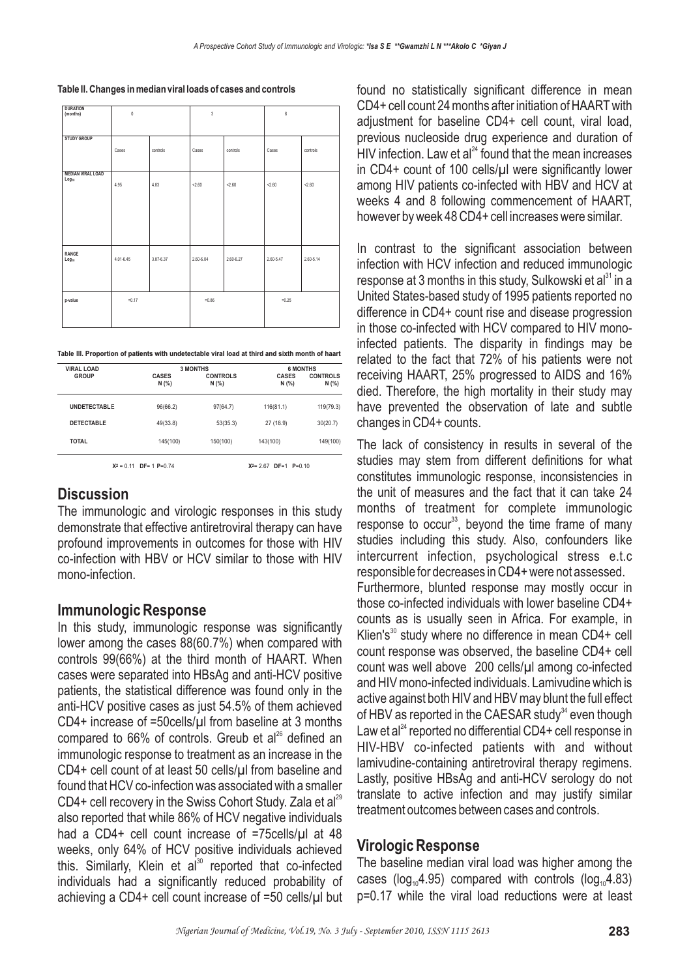| <b>DURATION</b><br>(months)                   | $\theta$      |           | $\mathsf 3$ |           | $6\phantom{a}$ |           |  |
|-----------------------------------------------|---------------|-----------|-------------|-----------|----------------|-----------|--|
| <b>STUDY GROUP</b>                            | Cases         | controls  | Cases       | controls  | Cases          | controls  |  |
| <b>MEDIAN VIRAL LOAD</b><br>Log <sub>10</sub> | 4.95          | 4.83      | < 2.60      | < 2.60    | < 2.60         | 2.60      |  |
| RANGE<br>Log <sub>10</sub>                    | $4.01 - 6.45$ | 3.87-6.37 | 2.60-6.04   | 2.60-6.27 | 2.60-5.47      | 2.60-5.14 |  |
| p-value                                       | $=0.17$       |           | $=0.86$     |           | $=0.25$        |           |  |

**Table III. Proportion of patients with undetectable viral load at third and sixth month of haart**

| <b>VIRAL LOAD</b><br><b>GROUP</b> |                       | <b>3 MONTHS</b>          | <b>6 MONTHS</b>       |                          |  |
|-----------------------------------|-----------------------|--------------------------|-----------------------|--------------------------|--|
|                                   | <b>CASES</b><br>N (%) | <b>CONTROLS</b><br>N(% ) | <b>CASES</b><br>N (%) | <b>CONTROLS</b><br>N (%) |  |
| <b>UNDETECTABLE</b>               | 96(66.2)              | 97(64.7)                 | 116(81.1)             | 119(79.3)                |  |
| <b>DETECTABLE</b>                 | 49(33.8)              | 53(35.3)                 | 27 (18.9)             | 30(20.7)                 |  |
| <b>TOTAL</b>                      | 145(100)              | 150(100)                 | 143(100)              | 149(100)                 |  |

**X <sup>2</sup>** = 0.11 **DF**= 1 **P**=0.74 **X**

**<sup>2</sup>**= 2.67 **DF**=1 **P**=0.10

# **Discussion**

The immunologic and virologic responses in this study demonstrate that effective antiretroviral therapy can have profound improvements in outcomes for those with HIV co-infection with HBV or HCV similar to those with HIV mono-infection.

### **Immunologic Response**

In this study, immunologic response was significantly lower among the cases 88(60.7%) when compared with controls 99(66%) at the third month of HAART. When cases were separated into HBsAg and anti-HCV positive patients, the statistical difference was found only in the anti-HCV positive cases as just 54.5% of them achieved CD4+ increase of =50cells/µl from baseline at 3 months compared to 66% of controls. Greub et al<sup>26</sup> defined an immunologic response to treatment as an increase in the CD4+ cell count of at least 50 cells/µl from baseline and found that HCV co-infection was associated with a smaller CD4+ cell recovery in the Swiss Cohort Study. Zala et al<sup>29</sup> also reported that while 86% of HCV negative individuals had a CD4+ cell count increase of =75cells/ul at 48 weeks, only 64% of HCV positive individuals achieved this. Similarly, Klein et al<sup>30</sup> reported that co-infected individuals had a significantly reduced probability of achieving a CD4+ cell count increase of =50 cells/µl but found no statistically significant difference in mean CD4+ cell count 24 months after initiation of HAART with adjustment for baseline CD4+ cell count, viral load, previous nucleoside drug experience and duration of HIV infection. Law et al $^{24}$  found that the mean increases in CD4+ count of 100 cells/µl were significantly lower among HIV patients co-infected with HBV and HCV at weeks 4 and 8 following commencement of HAART, however by week 48 CD4+ cell increases were similar.

In contrast to the significant association between infection with HCV infection and reduced immunologic response at 3 months in this study, Sulkowski et al<sup>31</sup> in a United States-based study of 1995 patients reported no difference in CD4+ count rise and disease progression in those co-infected with HCV compared to HIV monoinfected patients. The disparity in findings may be related to the fact that 72% of his patients were not receiving HAART, 25% progressed to AIDS and 16% died. Therefore, the high mortality in their study may have prevented the observation of late and subtle changes in CD4+ counts.

The lack of consistency in results in several of the studies may stem from different definitions for what constitutes immunologic response, inconsistencies in the unit of measures and the fact that it can take 24 months of treatment for complete immunologic response to occur $^{33}$ , beyond the time frame of many studies including this study. Also, confounders like intercurrent infection, psychological stress e.t.c responsible for decreases in CD4+ were not assessed. Furthermore, blunted response may mostly occur in those co-infected individuals with lower baseline CD4+ counts as is usually seen in Africa. For example, in Klien's<sup>30</sup> study where no difference in mean CD4+ cell count response was observed, the baseline CD4+ cell count was well above 200 cells/µl among co-infected and HIV mono-infected individuals. Lamivudine which is active against both HIV and HBV may blunt the full effect of HBV as reported in the CAESAR study<sup>34</sup> even though Law et al $^{24}$  reported no differential CD4+ cell response in HIV-HBV co-infected patients with and without lamivudine-containing antiretroviral therapy regimens. Lastly, positive HBsAg and anti-HCV serology do not translate to active infection and may justify similar treatment outcomes between cases and controls.

### **Virologic Response**

The baseline median viral load was higher among the cases ( $log_{10}4.95$ ) compared with controls ( $log_{10}4.83$ ) p=0.17 while the viral load reductions were at least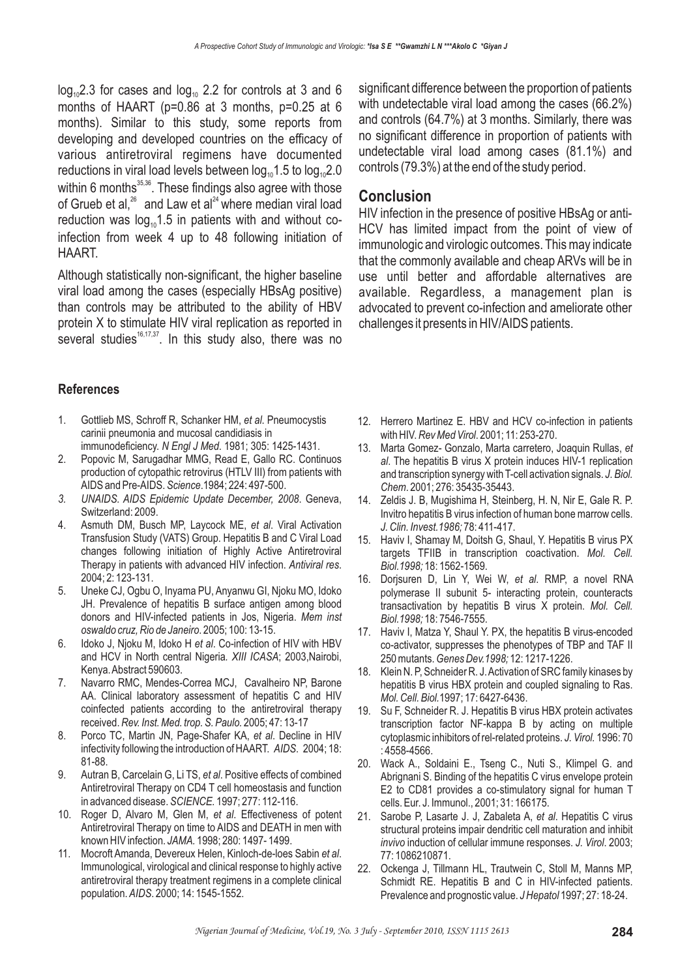$log_{10}$ 2.3 for cases and  $log_{10}$  2.2 for controls at 3 and 6 months of HAART (p=0.86 at 3 months, p=0.25 at 6 months). Similar to this study, some reports from developing and developed countries on the efficacy of various antiretroviral regimens have documented reductions in viral load levels between log $_{\scriptscriptstyle{10}}$ 1.5 to log $_{\scriptscriptstyle{10}}$ 2.0 within 6 months $^{35,36}$ . These findings also agree with those of Grueb et al, $^{26}$  and Law et al $^{24}$  where median viral load reduction was  $log_{10}1.5$  in patients with and without coinfection from week 4 up to 48 following initiation of HAART. 35,36  $^{26}$  and  $1$  au at al<sup>24</sup>

Although statistically non-significant, the higher baseline viral load among the cases (especially HBsAg positive) than controls may be attributed to the ability of HBV protein X to stimulate HIV viral replication as reported in several studies<sup>16,17,37</sup>. In this study also, there was no

**References**

- 1. Gottlieb MS, Schroff R, Schanker HM, et al. Pneumocystis carinii pneumonia and mucosal candidiasis in immunodeficiency. N Engl J Med. 1981; 305: 1425-1431.
- 2. Popovic M, Sarugadhar MMG, Read E, Gallo RC. Continuos production of cytopathic retrovirus (HTLV III) from patients with AIDS and Pre-AIDS. Science.1984; 224: 497-500.
- 3. UNAIDS. AIDS Epidemic Update December, 2008. Geneva, Switzerland: 2009.
- 4. Asmuth DM, Busch MP, Laycock ME, et al. Viral Activation Transfusion Study (VATS) Group. Hepatitis B and C Viral Load changes following initiation of Highly Active Antiretroviral Therapy in patients with advanced HIV infection. Antiviral res. 2004; 2: 123-131.
- 5. Uneke CJ, Ogbu O, Inyama PU, Anyanwu GI, Njoku MO, Idoko JH. Prevalence of hepatitis B surface antigen among blood donors and HIV-infected patients in Jos, Nigeria. *Mem inst* . 2005; 100: 13-15. *oswaldo cruz, Rio de Janeiro*
- 6. Idoko J, Njoku M, Idoko H et al. Co-infection of HIV with HBV and HCV in North central Nigeria. XIII ICASA; 2003,Nairobi, Kenya.Abstract 590603.
- 7. Navarro RMC, Mendes-Correa MCJ, Cavalheiro NP, Barone AA. Clinical laboratory assessment of hepatitis C and HIV coinfected patients according to the antiretroviral therapy received. 2005; 47: 13-17 *Rev. Inst. Med. trop. S. Paulo.*
- 8. Porco TC, Martin JN, Page-Shafer KA, et al. Decline in HIV infectivity following the introduction of HAART. AIDS. 2004; 18: 81-88.
- 9. Autran B, Carcelain G, Li TS, et al. Positive effects of combined Antiretroviral Therapy on CD4 T cell homeostasis and function in advanced disease. *SCIENCE.* 1997; 277: 112-116.
- 10. Roger D, Alvaro M, Glen M, et al. Effectiveness of potent Antiretroviral Therapy on time to AIDS and DEATH in men with known HIV infection. 1998; 280: 1497- 1499. *JAMA.*
- 11. Mocroft Amanda, Devereux Helen, Kinloch-de-loes Sabin et al. Immunological, virological and clinical response to highly active antiretroviral therapy treatment regimens in a complete clinical population. AIDS. 2000; 14: 1545-1552.

significant difference between the proportion of patients with undetectable viral load among the cases (66.2%) and controls (64.7%) at 3 months. Similarly, there was no significant difference in proportion of patients with undetectable viral load among cases (81.1%) and controls (79.3%) at the end of the study period.

### **Conclusion**

HIV infection in the presence of positive HBsAg or anti-HCV has limited impact from the point of view of immunologic and virologic outcomes. This may indicate that the commonly available and cheap ARVs will be in use until better and affordable alternatives are available. Regardless, a management plan is advocated to prevent co-infection and ameliorate other challenges it presents in HIV/AIDS patients.

- 12. Herrero Martinez E. HBV and HCV co-infection in patients with HIV. *Rev Med Virol.* 2001; 11: 253-270.
- 13. Marta Gomez- Gonzalo, Marta carretero, Joaquin Rullas, *et* . The hepatitis B virus X protein induces HIV-1 replication *al* and transcription synergy with T-cell activation signals. *J. Biol.* . 2001; 276: 35435-35443. *Chem*
- 14. Zeldis J. B, Mugishima H, Steinberg, H. N, Nir E, Gale R. P. Invitro hepatitis B virus infection of human bone marrow cells. 78: 411-417. *J. Clin. Invest.1986;*
- 15. Haviv I, Shamay M, Doitsh G, Shaul, Y. Hepatitis B virus PX targets TFIIB in transcription coactivation. *Mol. Cell.* 18: 1562-1569. *Biol.1998;*
- 16. Dorjsuren D, Lin Y, Wei W, et al. RMP, a novel RNA polymerase II subunit 5- interacting protein, counteracts transactivation by hepatitis B virus X protein. *Mol. Cell.* 18: 7546-7555. *Biol.1998;*
- 17. Haviv I, Matza Y, Shaul Y. PX, the hepatitis B virus-encoded co-activator, suppresses the phenotypes of TBP and TAF II 250 mutants. *Genes Dev.1998;* 12: 1217-1226.
- 18. Klein N. P, Schneider R. J.Activation of SRC family kinases by hepatitis B virus HBX protein and coupled signaling to Ras. *Mol. Cell. Biol.*1997; 17: 6427-6436.
- 19. Su F, Schneider R. J. Hepatitis B virus HBX protein activates transcription factor NF-kappa B by acting on multiple cytoplasmic inhibitors of rel-related proteins. J. Virol. 1996: 70 : 4558-4566.
- 20. Wack A., Soldaini E., Tseng C., Nuti S., Klimpel G. and Abrignani S. Binding of the hepatitis C virus envelope protein E2 to CD81 provides a co-stimulatory signal for human T cells. Eur. J. Immunol., 2001; 31: 166175.
- 21. Sarobe P, Lasarte J. J, Zabaleta A, et al. Hepatitis C virus structural proteins impair dendritic cell maturation and inhibit *invivo* induction of cellular immune responses. J. Virol. 2003; 77: 1086210871.
- 22. Ockenga J, Tillmann HL, Trautwein C, Stoll M, Manns MP, Schmidt RE. Hepatitis B and C in HIV-infected patients. Prevalence and prognostic value. J Hepatol 1997; 27: 18-24.